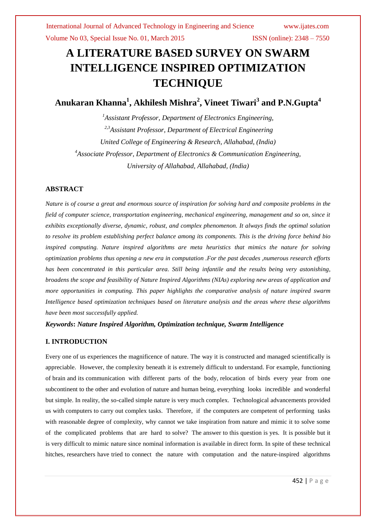# **A LITERATURE BASED SURVEY ON SWARM INTELLIGENCE INSPIRED OPTIMIZATION TECHNIQUE**

**Anukaran Khanna<sup>1</sup> , Akhilesh Mishra<sup>2</sup> , Vineet Tiwari<sup>3</sup> and P.N.Gupta<sup>4</sup>**

*<sup>1</sup>Assistant Professor, Department of Electronics Engineering, 2,3Assistant Professor, Department of Electrical Engineering United College of Engineering & Research, Allahabad, (India) <sup>4</sup>Associate Professor, Department of Electronics & Communication Engineering, University of Allahabad, Allahabad, (India)*

# **ABSTRACT**

*Nature is of course a great and enormous source of inspiration for solving hard and composite problems in the field of computer science, transportation engineering, mechanical engineering, management and so on, since it exhibits exceptionally diverse, dynamic, robust, and complex phenomenon. It always finds the optimal solution to resolve its problem establishing perfect balance among its components. This is the driving force behind bio inspired computing. Nature inspired algorithms are meta heuristics that mimics the nature for solving optimization problems thus opening a new era in computation .For the past decades ,numerous research efforts has been concentrated in this particular area. Still being infantile and the results being very astonishing, broadens the scope and feasibility of Nature Inspired Algorithms (NIAs) exploring new areas of application and more opportunities in computing. This paper highlights the comparative analysis of nature inspired swarm Intelligence based optimization techniques based on literature analysis and the areas where these algorithms have been most successfully applied.*

# *Keywords***:** *Nature Inspired Algorithm, Optimization technique, Swarm Intelligence*

# **I. INTRODUCTION**

Every one of us experiences the magnificence of nature. The way it is constructed and managed scientifically is appreciable. However, the complexity beneath it is extremely difficult to understand. For example, functioning of brain and its communication with different parts of the body, relocation of birds every year from one subcontinent to the other and evolution of nature and human being, everything looks incredible and wonderful but simple. In reality, the so-called simple nature is very much complex. Technological advancements provided us with computers to carry out complex tasks. Therefore, if the computers are competent of performing tasks with reasonable degree of complexity, why cannot we take inspiration from nature and mimic it to solve some of the complicated problems that are hard to solve? The answer to this question is yes. It is possible but it is very difficult to mimic nature since nominal information is available in direct form. In spite of these technical hitches, researchers have tried to connect the nature with computation and the nature-inspired algorithms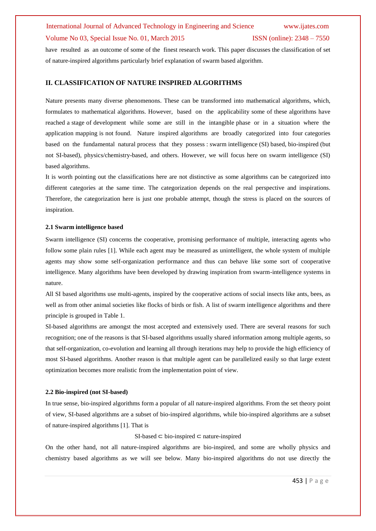have resulted as an outcome of some of the finest research work. This paper discusses the classification of set of nature-inspired algorithms particularly brief explanation of swarm based algorithm.

## **II. CLASSIFICATION OF NATURE INSPIRED ALGORITHMS**

Nature presents many diverse phenomenons. These can be transformed into mathematical algorithms, which, formulates to mathematical algorithms. However, based on the applicability some of these algorithms have reached a stage of development while some are still in the intangible phase or in a situation where the application mapping is not found. Nature inspired algorithms are broadly categorized into four categories based on the fundamental natural process that they possess : swarm intelligence (SI) based, bio-inspired (but not SI-based), physics/chemistry-based, and others. However, we will focus here on swarm intelligence (SI) based algorithms.

It is worth pointing out the classifications here are not distinctive as some algorithms can be categorized into different categories at the same time. The categorization depends on the real perspective and inspirations. Therefore, the categorization here is just one probable attempt, though the stress is placed on the sources of inspiration.

#### **2.1 Swarm intelligence based**

Swarm intelligence (SI) concerns the cooperative, promising performance of multiple, interacting agents who follow some plain rules [1]. While each agent may be measured as unintelligent, the whole system of multiple agents may show some self-organization performance and thus can behave like some sort of cooperative intelligence. Many algorithms have been developed by drawing inspiration from swarm-intelligence systems in nature.

All SI based algorithms use multi-agents, inspired by the cooperative actions of social insects like ants, bees, as well as from other animal societies like flocks of birds or fish. A list of swarm intelligence algorithms and there principle is grouped in Table 1.

SI-based algorithms are amongst the most accepted and extensively used. There are several reasons for such recognition; one of the reasons is that SI-based algorithms usually shared information among multiple agents, so that self-organization, co-evolution and learning all through iterations may help to provide the high efficiency of most SI-based algorithms. Another reason is that multiple agent can be parallelized easily so that large extent optimization becomes more realistic from the implementation point of view.

#### **2.2 Bio-inspired (not SI-based)**

In true sense, bio-inspired algorithms form a popular of all nature-inspired algorithms. From the set theory point of view, SI-based algorithms are a subset of bio-inspired algorithms, while bio-inspired algorithms are a subset of nature-inspired algorithms [1]. That is

### SI-based ⊂ bio-inspired ⊂ nature-inspired

On the other hand, not all nature-inspired algorithms are bio-inspired, and some are wholly physics and chemistry based algorithms as we will see below. Many bio-inspired algorithms do not use directly the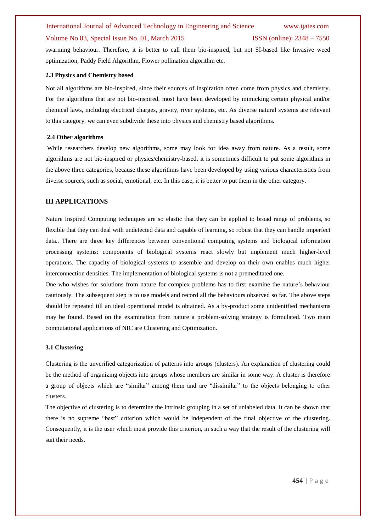swarming behaviour. Therefore, it is better to call them bio-inspired, but not SI-based like Invasive weed optimization, Paddy Field Algorithm, Flower pollination algorithm etc.

## **2.3 Physics and Chemistry based**

Not all algorithms are bio-inspired, since their sources of inspiration often come from physics and chemistry. For the algorithms that are not bio-inspired, most have been developed by mimicking certain physical and/or chemical laws, including electrical charges, gravity, river systems, etc. As diverse natural systems are relevant to this category, we can even subdivide these into physics and chemistry based algorithms.

### **2.4 Other algorithms**

While researchers develop new algorithms, some may look for idea away from nature. As a result, some algorithms are not bio-inspired or physics/chemistry-based, it is sometimes difficult to put some algorithms in the above three categories, because these algorithms have been developed by using various characteristics from diverse sources, such as social, emotional, etc. In this case, it is better to put them in the other category.

## **III APPLICATIONS**

Nature Inspired Computing techniques are so elastic that they can be applied to broad range of problems, so flexible that they can deal with undetected data and capable of learning, so robust that they can handle imperfect data.. There are three key differences between conventional computing systems and biological information processing systems: components of biological systems react slowly but implement much higher-level operations. The capacity of biological systems to assemble and develop on their own enables much higher interconnection densities. The implementation of biological systems is not a premeditated one.

One who wishes for solutions from nature for complex problems has to first examine the nature"s behaviour cautiously. The subsequent step is to use models and record all the behaviours observed so far. The above steps should be repeated till an ideal operational model is obtained. As a by-product some unidentified mechanisms may be found. Based on the examination from nature a problem-solving strategy is formulated. Two main computational applications of NIC are Clustering and Optimization.

#### **3.1 Clustering**

Clustering is the unverified categorization of patterns into groups (clusters). An explanation of clustering could be the method of organizing objects into groups whose members are similar in some way. A cluster is therefore a group of objects which are "similar" among them and are "dissimilar" to the objects belonging to other clusters.

The objective of clustering is to determine the intrinsic grouping in a set of unlabeled data. It can be shown that there is no supreme "best" criterion which would be independent of the final objective of the clustering. Consequently, it is the user which must provide this criterion, in such a way that the result of the clustering will suit their needs.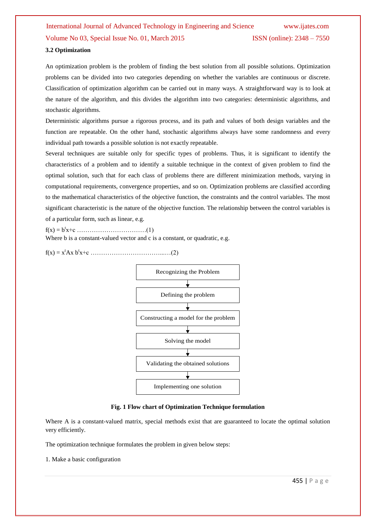## **3.2 Optimization**

An optimization problem is the problem of finding the best solution from all possible solutions. Optimization problems can be divided into two categories depending on whether the variables are continuous or discrete. Classification of optimization algorithm can be carried out in many ways. A straightforward way is to look at the nature of the algorithm, and this divides the algorithm into two categories: deterministic algorithms, and stochastic algorithms.

Deterministic algorithms pursue a rigorous process, and its path and values of both design variables and the function are repeatable. On the other hand, stochastic algorithms always have some randomness and every individual path towards a possible solution is not exactly repeatable.

Several techniques are suitable only for specific types of problems. Thus, it is significant to identify the characteristics of a problem and to identify a suitable technique in the context of given problem to find the optimal solution, such that for each class of problems there are different minimization methods, varying in computational requirements, convergence properties, and so on. Optimization problems are classified according to the mathematical characteristics of the objective function, the constraints and the control variables. The most significant characteristic is the nature of the objective function. The relationship between the control variables is of a particular form, such as linear, e.g.

f(x) = b<sup>t</sup> x+c ……………………………(1)

Where b is a constant-valued vector and c is a constant, or quadratic, e.g.

 $f(x) = x^t A x b^t x + c \dots (2)$ 



**Fig. 1 Flow chart of Optimization Technique formulation**

Where A is a constant-valued matrix, special methods exist that are guaranteed to locate the optimal solution very efficiently.

The optimization technique formulates the problem in given below steps:

1. Make a basic configuration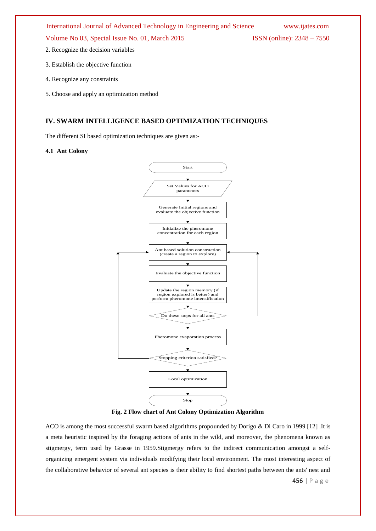- 2. Recognize the decision variables
- 3. Establish the objective function
- 4. Recognize any constraints
- 5. Choose and apply an optimization method

# **IV. SWARM INTELLIGENCE BASED OPTIMIZATION TECHNIQUES**

The different SI based optimization techniques are given as:-

## **4.1 Ant Colony**



**Fig. 2 Flow chart of Ant Colony Optimization Algorithm**

ACO is among the most successful swarm based algorithms propounded by Dorigo & Di Caro in 1999 [12] .It is a meta heuristic inspired by the foraging actions of ants in the wild, and moreover, the phenomena known as stigmergy, term used by Grasse in 1959.Stigmergy refers to the indirect communication amongst a selforganizing emergent system via individuals modifying their local environment. The most interesting aspect of the collaborative behavior of several ant species is their ability to find shortest paths between the ants' nest and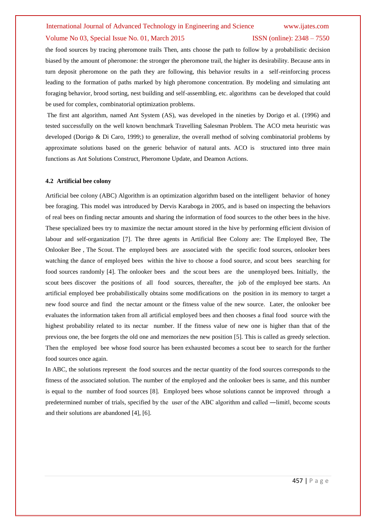the food sources by tracing pheromone trails Then, ants choose the path to follow by a probabilistic decision biased by the amount of pheromone: the stronger the pheromone trail, the higher its desirability. Because ants in turn deposit pheromone on the path they are following, this behavior results in a self-reinforcing process leading to the formation of paths marked by high pheromone concentration. By modeling and simulating ant foraging behavior, brood sorting, nest building and self-assembling, etc. algorithms can be developed that could be used for complex, combinatorial optimization problems.

The first ant algorithm, named Ant System (AS), was developed in the nineties by Dorigo et al. (1996) and tested successfully on the well known benchmark Travelling Salesman Problem. The ACO meta heuristic was developed (Dorigo & Di Caro, 1999;) to generalize, the overall method of solving combinatorial problems by approximate solutions based on the generic behavior of natural ants. ACO is structured into three main functions as Ant Solutions Construct, Pheromone Update, and Deamon Actions.

## **4.2 Artificial bee colony**

Artificial bee colony (ABC) Algorithm is an optimization algorithm based on the intelligent behavior of honey bee foraging. This model was introduced by Dervis Karaboga in 2005, and is based on inspecting the behaviors of real bees on finding nectar amounts and sharing the information of food sources to the other bees in the hive. These specialized bees try to maximize the nectar amount stored in the hive by performing efficient division of labour and self-organization [7]. The three agents in Artificial Bee Colony are: The Employed Bee, The Onlooker Bee , The Scout. The employed bees are associated with the specific food sources, onlooker bees watching the dance of employed bees within the hive to choose a food source, and scout bees searching for food sources randomly [4]. The onlooker bees and the scout bees are the unemployed bees. Initially, the scout bees discover the positions of all food sources, thereafter, the job of the employed bee starts. An artificial employed bee probabilistically obtains some modifications on the position in its memory to target a new food source and find the nectar amount or the fitness value of the new source. Later, the onlooker bee evaluates the information taken from all artificial employed bees and then chooses a final food source with the highest probability related to its nectar number. If the fitness value of new one is higher than that of the previous one, the bee forgets the old one and memorizes the new position [5]. This is called as greedy selection. Then the employed bee whose food source has been exhausted becomes a scout bee to search for the further food sources once again.

In ABC, the solutions represent the food sources and the nectar quantity of the food sources corresponds to the fitness of the associated solution. The number of the employed and the onlooker bees is same, and this number is equal to the number of food sources [8]. Employed bees whose solutions cannot be improved through a predetermined number of trials, specified by the user of the ABC algorithm and called —limitl, become scouts and their solutions are abandoned [4], [6].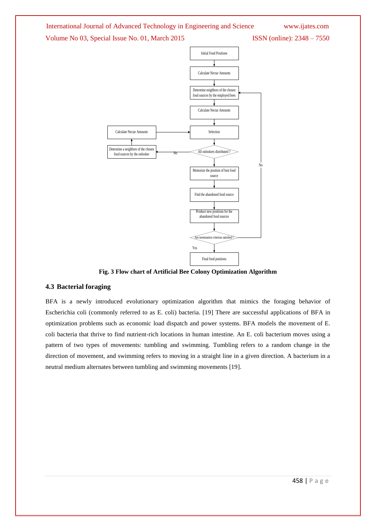# International Journal of Advanced Technology in Engineering and Science [www.ijates.com](http://www.ijates.com/)

# Volume No 03, Special Issue No. 01, March 2015 ISSN (online): 2348 – 7550



**Fig. 3 Flow chart of Artificial Bee Colony Optimization Algorithm**

# **4.3 Bacterial foraging**

BFA is a newly introduced evolutionary optimization algorithm that mimics the foraging behavior of Escherichia coli (commonly referred to as E. coli) bacteria. [19] There are successful applications of BFA in optimization problems such as economic load dispatch and power systems. BFA models the movement of E. coli bacteria that thrive to find nutrient-rich locations in human intestine. An E. coli bacterium moves using a pattern of two types of movements: tumbling and swimming. Tumbling refers to a random change in the direction of movement, and swimming refers to moving in a straight line in a given direction. A bacterium in a neutral medium alternates between tumbling and swimming movements [19].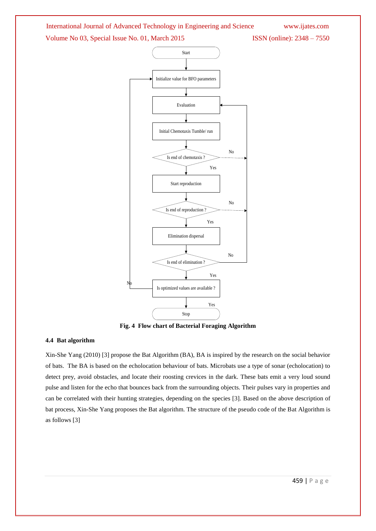



**Fig. 4 Flow chart of Bacterial Foraging Algorithm**

## **4.4 Bat algorithm**

Xin-She Yang (2010) [3] propose the Bat Algorithm (BA), BA is inspired by the research on the social behavior of bats. The BA is based on the echolocation behaviour of bats. Microbats use a type of sonar (echolocation) to detect prey, avoid obstacles, and locate their roosting crevices in the dark. These bats emit a very loud sound pulse and listen for the echo that bounces back from the surrounding objects. Their pulses vary in properties and can be correlated with their hunting strategies, depending on the species [3]. Based on the above description of bat process, Xin-She Yang proposes the Bat algorithm. The structure of the pseudo code of the Bat Algorithm is as follows [3]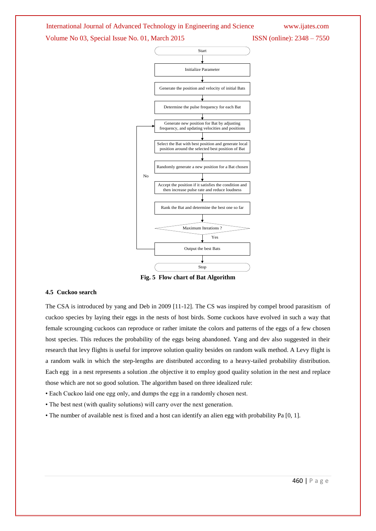

**Fig. 5 Flow chart of Bat Algorithm**

#### **4.5 Cuckoo search**

The CSA is introduced by yang and Deb in 2009 [11-12]. The CS was inspired by compel brood parasitism of cuckoo species by laying their eggs in the nests of host birds. Some cuckoos have evolved in such a way that female scrounging cuckoos can reproduce or rather imitate the colors and patterns of the eggs of a few chosen host species. This reduces the probability of the eggs being abandoned. Yang and dev also suggested in their research that levy flights is useful for improve solution quality besides on random walk method. A Levy flight is a random walk in which the step-lengths are distributed according to a heavy-tailed probability distribution. Each egg in a nest represents a solution .the objective it to employ good quality solution in the nest and replace those which are not so good solution. The algorithm based on three idealized rule:

• Each Cuckoo laid one egg only, and dumps the egg in a randomly chosen nest.

• The best nest (with quality solutions) will carry over the next generation.

• The number of available nest is fixed and a host can identify an alien egg with probability Pa [0, 1].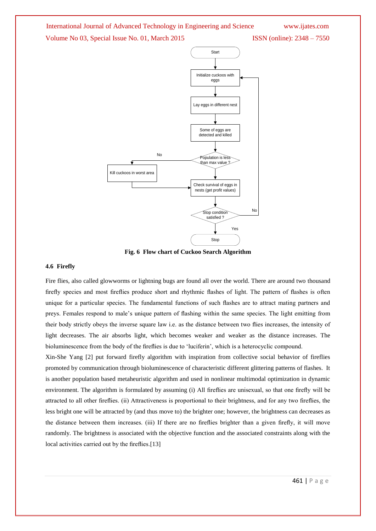



**Fig. 6 Flow chart of Cuckoo Search Algorithm**

#### **4.6 Firefly**

Fire flies, also called glowworms or lightning bugs are found all over the world. There are around two thousand firefly species and most fireflies produce short and rhythmic flashes of light. The pattern of flashes is often unique for a particular species. The fundamental functions of such flashes are to attract mating partners and preys. Females respond to male"s unique pattern of flashing within the same species. The light emitting from their body strictly obeys the inverse square law i.e. as the distance between two flies increases, the intensity of light decreases. The air absorbs light, which becomes weaker and weaker as the distance increases. The bioluminescence from the body of the fireflies is due to "luciferin", which is a heterocyclic compound.

Xin-She Yang [2] put forward firefly algorithm with inspiration from collective social behavior of fireflies promoted by communication through bioluminescence of characteristic different glittering patterns of flashes. It is another population based metaheuristic algorithm and used in nonlinear multimodal optimization in dynamic environment. The algorithm is formulated by assuming (i) All fireflies are unisexual, so that one firefly will be attracted to all other fireflies. (ii) Attractiveness is proportional to their brightness, and for any two fireflies, the less bright one will be attracted by (and thus move to) the brighter one; however, the brightness can decreases as the distance between them increases. (iii) If there are no fireflies brighter than a given firefly, it will move randomly. The brightness is associated with the objective function and the associated constraints along with the local activities carried out by the fireflies.[13]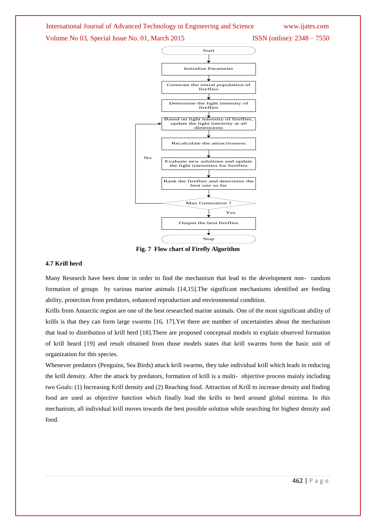



**Fig. 7 Flow chart of Firefly Algorithm**

#### **4.7 Krill herd**

Many Research have been done in order to find the mechanism that lead to the development non- random formation of groups by various marine animals [14,15].The significant mechanisms identified are feeding ability, protection from predators, enhanced reproduction and environmental condition.

Krills from Antarctic region are one of the best researched marine animals. One of the most significant ability of krills is that they can form large swarms [16, 17].Yet there are number of uncertainties about the mechanism that lead to distribution of krill herd [18].There are proposed conceptual models to explain observed formation of krill heard [19] and result obtained from those models states that krill swarms form the basic unit of organization for this species.

Whenever predators (Penguins, Sea Birds) attack krill swarms, they take individual krill which leads in reducing the krill density. After the attack by predators, formation of krill is a multi- objective process mainly including two Goals: (1) Increasing Krill density and (2) Reaching food. Attraction of Krill to increase density and finding food are used as objective function which finally lead the krills to herd around global minima. In this mechanism, all individual krill moves towards the best possible solution while searching for highest density and food.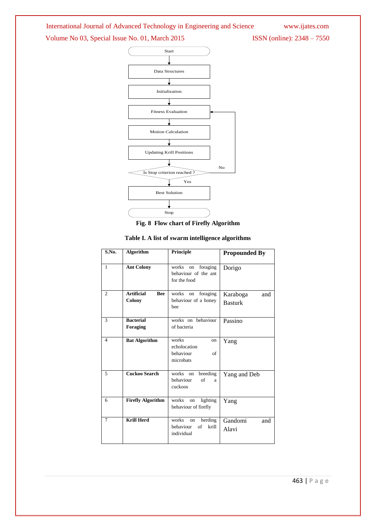International Journal of Advanced Technology in Engineering and Science [www.ijates.com](http://www.ijates.com/)

# Volume No 03, Special Issue No. 01, March 2015 ISSN (online): 2348 - 7550



|  | Fig. 8 Flow chart of Firefly Algorithm |  |  |
|--|----------------------------------------|--|--|
|--|----------------------------------------|--|--|

| S.No.                       | <b>Algorithm</b>                          | Principle                                                        | <b>Propounded By</b>              |
|-----------------------------|-------------------------------------------|------------------------------------------------------------------|-----------------------------------|
| $\mathbf{1}$                | <b>Ant Colony</b>                         | foraging<br>works on<br>behaviour of the ant<br>for the food     | Dorigo                            |
| $\mathcal{D}_{\mathcal{L}}$ | <b>Artificial</b><br><b>Bee</b><br>Colony | foraging<br>works<br>on<br>behaviour of a honey<br>hee           | Karaboga<br>and<br><b>Basturk</b> |
| $\mathbf{3}$                | <b>Bacterial</b><br><b>Foraging</b>       | works on behaviour<br>of bacteria                                | Passino                           |
| $\overline{\mathcal{L}}$    | <b>Bat Algorithm</b>                      | works<br>on<br>echolocation<br>behaviour<br>of<br>microbats      | Yang                              |
| 5                           | <b>Cuckoo Search</b>                      | breeding<br>works<br>on<br>behaviour<br>of<br>a<br>cuckoos       | Yang and Deb                      |
| 6                           | <b>Firefly Algorithm</b>                  | works<br>lighting<br>on<br>behaviour of firefly                  | Yang                              |
| $\tau$                      | <b>Krill Herd</b>                         | works<br>herding<br>on<br>behaviour<br>of<br>krill<br>individual | Gandomi<br>and<br>Alavi           |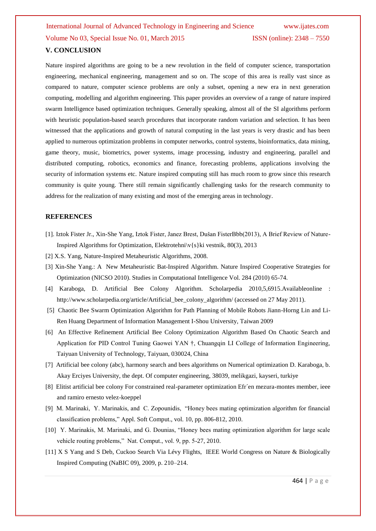Nature inspired algorithms are going to be a new revolution in the field of computer science, transportation engineering, mechanical engineering, management and so on. The scope of this area is really vast since as compared to nature, computer science problems are only a subset, opening a new era in next generation computing, modelling and algorithm engineering. This paper provides an overview of a range of nature inspired swarm Intelligence based optimization techniques. Generally speaking, almost all of the SI algorithms perform with heuristic population-based search procedures that incorporate random variation and selection. It has been witnessed that the applications and growth of natural computing in the last years is very drastic and has been applied to numerous optimization problems in computer networks, control systems, bioinformatics, data mining, game theory, music, biometrics, power systems, image processing, industry and engineering, parallel and distributed computing, robotics, economics and finance, forecasting problems, applications involving the security of information systems etc. Nature inspired computing still has much room to grow since this research community is quite young. There still remain significantly challenging tasks for the research community to address for the realization of many existing and most of the emerging areas in technology.

## **REFERENCES**

- [1]. Iztok Fister Jr., Xin-She Yang, Iztok Fister, Janez Brest, Dušan FisterBbb(2013), A Brief Review of Nature-Inspired Algorithms for Optimization, Elektrotehni\v{s}ki vestnik, 80(3), 2013
- [2] X.S. Yang, Nature-Inspired Metaheuristic Algorithms, 2008.
- [3] Xin-She Yang.: A New Metaheuristic Bat-Inspired Algorithm. Nature Inspired Cooperative Strategies for Optimization (NICSO 2010). Studies in Computational Intelligence Vol. 284 (2010) 65-74.
- [4] Karaboga, D. Artificial Bee Colony Algorithm. Scholarpedia 2010,5,6915.Availableonline : http://www.scholarpedia.org/article/Artificial\_bee\_colony\_algorithm/ (accessed on 27 May 2011).
- [5] Chaotic Bee Swarm Optimization Algorithm for Path Planning of Mobile Robots Jiann-Horng Lin and Li-Ren Huang Department of Information Management I-Shou University, Taiwan 2009
- [6] An Effective Refinement Artificial Bee Colony Optimization Algorithm Based On Chaotic Search and Application for PID Control Tuning Gaowei YAN †, Chuangqin LI College of Information Engineering, Taiyuan University of Technology, Taiyuan, 030024, China
- [7] Artificial bee colony (abc), harmony search and bees algorithms on Numerical optimization D. Karaboga, b. Akay Erciyes University, the dept. Of computer engineering, 38039, melikgazi, kayseri, turkiye
- [8] Elitist artificial bee colony For constrained real-parameter optimization Efr´en mezura-montes member, ieee and ramiro ernesto velez-koeppel
- [9] M. Marinaki, Y. Marinakis, and C. Zopounidis, "Honey bees mating optimization algorithm for financial classification problems," Appl. Soft Comput., vol. 10, pp. 806-812, 2010.
- [10] Y. Marinakis, M. Marinaki, and G. Dounias, "Honey bees mating optimization algorithm for large scale vehicle routing problems," Nat. Comput., vol. 9, pp. 5-27, 2010.
- [11] X S Yang and S Deb, Cuckoo Search Via Lévy Flights, IEEE World Congress on Nature & Biologically Inspired Computing (NaBIC 09), 2009, p. 210–214.